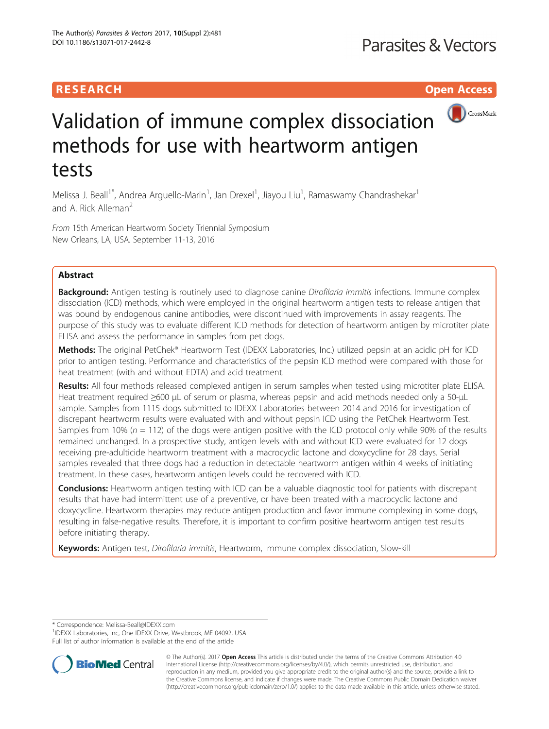# **RESEARCH CHE Open Access**



# Validation of immune complex dissociation methods for use with heartworm antigen tests

Melissa J. Beall<sup>1\*</sup>, Andrea Arguello-Marin<sup>1</sup>, Jan Drexel<sup>1</sup>, Jiayou Liu<sup>1</sup>, Ramaswamy Chandrashekar<sup>1</sup> and A. Rick Alleman<sup>2</sup>

From 15th American Heartworm Society Triennial Symposium New Orleans, LA, USA. September 11-13, 2016

# Abstract

Background: Antigen testing is routinely used to diagnose canine Dirofilaria immitis infections. Immune complex dissociation (ICD) methods, which were employed in the original heartworm antigen tests to release antigen that was bound by endogenous canine antibodies, were discontinued with improvements in assay reagents. The purpose of this study was to evaluate different ICD methods for detection of heartworm antigen by microtiter plate ELISA and assess the performance in samples from pet dogs.

Methods: The original PetChek® Heartworm Test (IDEXX Laboratories, Inc.) utilized pepsin at an acidic pH for ICD prior to antigen testing. Performance and characteristics of the pepsin ICD method were compared with those for heat treatment (with and without EDTA) and acid treatment.

Results: All four methods released complexed antigen in serum samples when tested using microtiter plate ELISA. Heat treatment required ≥600 μL of serum or plasma, whereas pepsin and acid methods needed only a 50-μL sample. Samples from 1115 dogs submitted to IDEXX Laboratories between 2014 and 2016 for investigation of discrepant heartworm results were evaluated with and without pepsin ICD using the PetChek Heartworm Test. Samples from 10% ( $n = 112$ ) of the dogs were antigen positive with the ICD protocol only while 90% of the results remained unchanged. In a prospective study, antigen levels with and without ICD were evaluated for 12 dogs receiving pre-adulticide heartworm treatment with a macrocyclic lactone and doxycycline for 28 days. Serial samples revealed that three dogs had a reduction in detectable heartworm antigen within 4 weeks of initiating treatment. In these cases, heartworm antigen levels could be recovered with ICD.

**Conclusions:** Heartworm antigen testing with ICD can be a valuable diagnostic tool for patients with discrepant results that have had intermittent use of a preventive, or have been treated with a macrocyclic lactone and doxycycline. Heartworm therapies may reduce antigen production and favor immune complexing in some dogs, resulting in false-negative results. Therefore, it is important to confirm positive heartworm antigen test results before initiating therapy.

Keywords: Antigen test, Dirofilaria immitis, Heartworm, Immune complex dissociation, Slow-kill

\* Correspondence: [Melissa-Beall@IDEXX.com](mailto:Melissa-Beall@IDEXX.com) <sup>1</sup>

<sup>1</sup>IDEXX Laboratories, Inc, One IDEXX Drive, Westbrook, ME 04092, USA Full list of author information is available at the end of the article



© The Author(s). 2017 **Open Access** This article is distributed under the terms of the Creative Commons Attribution 4.0 International License [\(http://creativecommons.org/licenses/by/4.0/](http://creativecommons.org/licenses/by/4.0/)), which permits unrestricted use, distribution, and reproduction in any medium, provided you give appropriate credit to the original author(s) and the source, provide a link to the Creative Commons license, and indicate if changes were made. The Creative Commons Public Domain Dedication waiver [\(http://creativecommons.org/publicdomain/zero/1.0/](http://creativecommons.org/publicdomain/zero/1.0/)) applies to the data made available in this article, unless otherwise stated.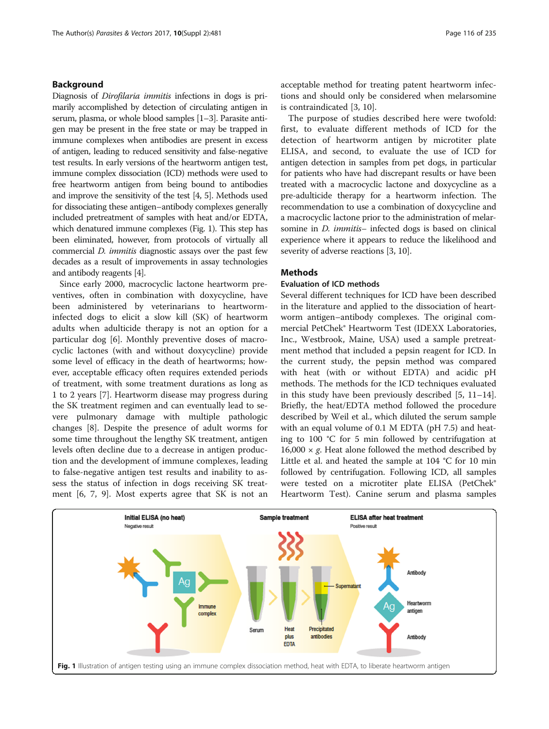# Background

Diagnosis of Dirofilaria immitis infections in dogs is primarily accomplished by detection of circulating antigen in serum, plasma, or whole blood samples [\[1](#page-5-0)–[3\]](#page-5-0). Parasite antigen may be present in the free state or may be trapped in immune complexes when antibodies are present in excess of antigen, leading to reduced sensitivity and false-negative test results. In early versions of the heartworm antigen test, immune complex dissociation (ICD) methods were used to free heartworm antigen from being bound to antibodies and improve the sensitivity of the test [\[4, 5\]](#page-5-0). Methods used for dissociating these antigen–antibody complexes generally included pretreatment of samples with heat and/or EDTA, which denatured immune complexes (Fig. 1). This step has been eliminated, however, from protocols of virtually all commercial D. immitis diagnostic assays over the past few decades as a result of improvements in assay technologies and antibody reagents [\[4](#page-5-0)].

Since early 2000, macrocyclic lactone heartworm preventives, often in combination with doxycycline, have been administered by veterinarians to heartworminfected dogs to elicit a slow kill (SK) of heartworm adults when adulticide therapy is not an option for a particular dog [[6](#page-5-0)]. Monthly preventive doses of macrocyclic lactones (with and without doxycycline) provide some level of efficacy in the death of heartworms; however, acceptable efficacy often requires extended periods of treatment, with some treatment durations as long as 1 to 2 years [[7\]](#page-5-0). Heartworm disease may progress during the SK treatment regimen and can eventually lead to severe pulmonary damage with multiple pathologic changes [\[8](#page-5-0)]. Despite the presence of adult worms for some time throughout the lengthy SK treatment, antigen levels often decline due to a decrease in antigen production and the development of immune complexes, leading to false-negative antigen test results and inability to assess the status of infection in dogs receiving SK treatment [\[6, 7](#page-5-0), [9](#page-5-0)]. Most experts agree that SK is not an acceptable method for treating patent heartworm infections and should only be considered when melarsomine is contraindicated [[3, 10](#page-5-0)].

The purpose of studies described here were twofold: first, to evaluate different methods of ICD for the detection of heartworm antigen by microtiter plate ELISA, and second, to evaluate the use of ICD for antigen detection in samples from pet dogs, in particular for patients who have had discrepant results or have been treated with a macrocyclic lactone and doxycycline as a pre-adulticide therapy for a heartworm infection. The recommendation to use a combination of doxycycline and a macrocyclic lactone prior to the administration of melarsomine in *D. immitis*- infected dogs is based on clinical experience where it appears to reduce the likelihood and severity of adverse reactions [\[3](#page-5-0), [10](#page-5-0)].

# **Methods**

#### Evaluation of ICD methods

Several different techniques for ICD have been described in the literature and applied to the dissociation of heartworm antigen–antibody complexes. The original commercial PetChek® Heartworm Test (IDEXX Laboratories, Inc., Westbrook, Maine, USA) used a sample pretreatment method that included a pepsin reagent for ICD. In the current study, the pepsin method was compared with heat (with or without EDTA) and acidic pH methods. The methods for the ICD techniques evaluated in this study have been previously described [[5, 11](#page-5-0)–[14](#page-5-0)]. Briefly, the heat/EDTA method followed the procedure described by Weil et al., which diluted the serum sample with an equal volume of 0.1 M EDTA (pH 7.5) and heating to 100 °C for 5 min followed by centrifugation at  $16,000 \times g$ . Heat alone followed the method described by Little et al. and heated the sample at 104 °C for 10 min followed by centrifugation. Following ICD, all samples were tested on a microtiter plate ELISA (PetChek® Heartworm Test). Canine serum and plasma samples

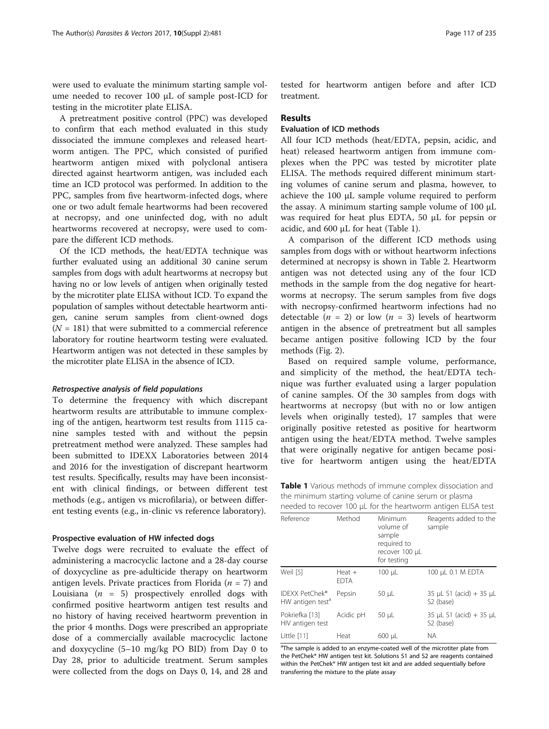were used to evaluate the minimum starting sample volume needed to recover 100 μL of sample post-ICD for testing in the microtiter plate ELISA.

A pretreatment positive control (PPC) was developed to confirm that each method evaluated in this study dissociated the immune complexes and released heartworm antigen. The PPC, which consisted of purified heartworm antigen mixed with polyclonal antisera directed against heartworm antigen, was included each time an ICD protocol was performed. In addition to the PPC, samples from five heartworm-infected dogs, where one or two adult female heartworms had been recovered at necropsy, and one uninfected dog, with no adult heartworms recovered at necropsy, were used to compare the different ICD methods.

Of the ICD methods, the heat/EDTA technique was further evaluated using an additional 30 canine serum samples from dogs with adult heartworms at necropsy but having no or low levels of antigen when originally tested by the microtiter plate ELISA without ICD. To expand the population of samples without detectable heartworm antigen, canine serum samples from client-owned dogs  $(N = 181)$  that were submitted to a commercial reference laboratory for routine heartworm testing were evaluated. Heartworm antigen was not detected in these samples by the microtiter plate ELISA in the absence of ICD.

#### Retrospective analysis of field populations

To determine the frequency with which discrepant heartworm results are attributable to immune complexing of the antigen, heartworm test results from 1115 canine samples tested with and without the pepsin pretreatment method were analyzed. These samples had been submitted to IDEXX Laboratories between 2014 and 2016 for the investigation of discrepant heartworm test results. Specifically, results may have been inconsistent with clinical findings, or between different test methods (e.g., antigen vs microfilaria), or between different testing events (e.g., in-clinic vs reference laboratory).

# Prospective evaluation of HW infected dogs

Twelve dogs were recruited to evaluate the effect of administering a macrocyclic lactone and a 28-day course of doxycycline as pre-adulticide therapy on heartworm antigen levels. Private practices from Florida ( $n = 7$ ) and Louisiana ( $n = 5$ ) prospectively enrolled dogs with confirmed positive heartworm antigen test results and no history of having received heartworm prevention in the prior 4 months. Dogs were prescribed an appropriate dose of a commercially available macrocyclic lactone and doxycycline (5–10 mg/kg PO BID) from Day 0 to Day 28, prior to adulticide treatment. Serum samples were collected from the dogs on Days 0, 14, and 28 and

tested for heartworm antigen before and after ICD treatment.

## Results

# Evaluation of ICD methods

All four ICD methods (heat/EDTA, pepsin, acidic, and heat) released heartworm antigen from immune complexes when the PPC was tested by microtiter plate ELISA. The methods required different minimum starting volumes of canine serum and plasma, however, to achieve the 100 μL sample volume required to perform the assay. A minimum starting sample volume of 100 μL was required for heat plus EDTA, 50 μL for pepsin or acidic, and 600 μL for heat (Table 1).

A comparison of the different ICD methods using samples from dogs with or without heartworm infections determined at necropsy is shown in Table [2](#page-3-0). Heartworm antigen was not detected using any of the four ICD methods in the sample from the dog negative for heartworms at necropsy. The serum samples from five dogs with necropsy-confirmed heartworm infections had no detectable  $(n = 2)$  or low  $(n = 3)$  levels of heartworm antigen in the absence of pretreatment but all samples became antigen positive following ICD by the four methods (Fig. [2](#page-3-0)).

Based on required sample volume, performance, and simplicity of the method, the heat/EDTA technique was further evaluated using a larger population of canine samples. Of the 30 samples from dogs with heartworms at necropsy (but with no or low antigen levels when originally tested), 17 samples that were originally positive retested as positive for heartworm antigen using the heat/EDTA method. Twelve samples that were originally negative for antigen became positive for heartworm antigen using the heat/EDTA

Table 1 Various methods of immune complex dissociation and the minimum starting volume of canine serum or plasma needed to recover 100 μL for the heartworm antigen ELISA test

| ווככסכס גט וככטיכו וטט אב וטו גווכ ווכמונייטוווו מווגוסכוו בבוטו גכטנ |                         |                                                                                |                                                            |  |  |  |  |
|-----------------------------------------------------------------------|-------------------------|--------------------------------------------------------------------------------|------------------------------------------------------------|--|--|--|--|
| Reference                                                             | Method                  | Minimum<br>volume of<br>sample<br>required to<br>recover 100 µL<br>for testing | Reagents added to the<br>sample                            |  |  |  |  |
| Weil [5]                                                              | $Heat +$<br><b>FDTA</b> | 100 µL                                                                         | 100 μL 0.1 M EDTA                                          |  |  |  |  |
| IDFXX PetChek®<br>HW antigen test <sup>a</sup>                        | Pepsin                  | $50 \mu L$                                                                     | $35 \mu L S1$ (acid) + 35 $\mu L$<br>S <sub>2</sub> (base) |  |  |  |  |
| Pokriefka [13]<br>HIV antigen test                                    | Acidic pH               | $50 \mu L$                                                                     | $35 \mu L S1$ (acid) + 35 $\mu L$<br>S <sub>2</sub> (base) |  |  |  |  |
| Little [11]                                                           | Heat                    | 600 µL                                                                         | <b>NA</b>                                                  |  |  |  |  |

<sup>a</sup>The sample is added to an enzyme-coated well of the microtiter plate from the PetChek® HW antigen test kit. Solutions S1 and S2 are reagents contained within the PetChek® HW antigen test kit and are added sequentially before transferring the mixture to the plate assay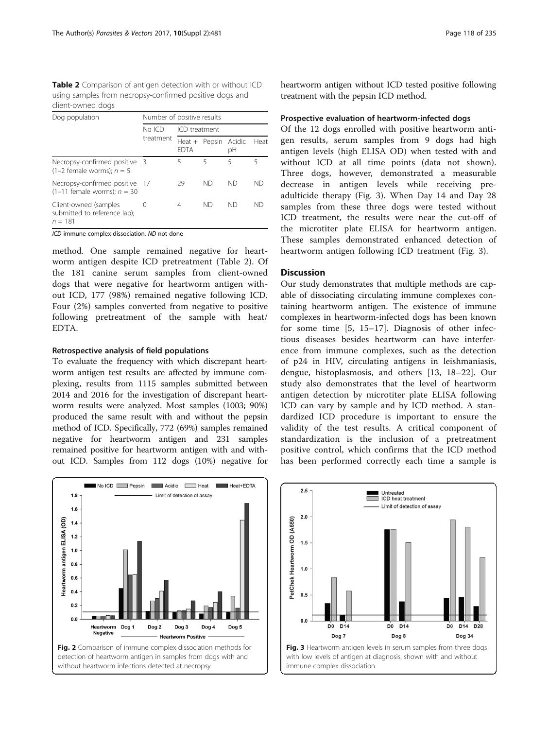<span id="page-3-0"></span>Table 2 Comparison of antigen detection with or without ICD using samples from necropsy-confirmed positive dogs and client-owned dogs

| Dog population                                                     | Number of positive results |               |                      |     |      |  |
|--------------------------------------------------------------------|----------------------------|---------------|----------------------|-----|------|--|
|                                                                    | No ICD<br>treatment        | ICD treatment |                      |     |      |  |
|                                                                    |                            | <b>FDTA</b>   | Heat + Pepsin Acidic | рH  | Heat |  |
| Necropsy-confirmed positive 3<br>$(1-2)$ female worms); $n = 5$    |                            | 5             | 5                    | 5   | 5    |  |
| Necropsy-confirmed positive<br>$(1-11$ female worms); $n = 30$     | -17                        | 29            | ND.                  | ND. | ΝD   |  |
| Client-owned (samples<br>submitted to reference lab);<br>$n = 181$ | $\left( \right)$           | 4             | ND.                  | ND. | ΝD   |  |

ICD immune complex dissociation, ND not done

method. One sample remained negative for heartworm antigen despite ICD pretreatment (Table 2). Of the 181 canine serum samples from client-owned dogs that were negative for heartworm antigen without ICD, 177 (98%) remained negative following ICD. Four (2%) samples converted from negative to positive following pretreatment of the sample with heat/ EDTA.

# Retrospective analysis of field populations

To evaluate the frequency with which discrepant heartworm antigen test results are affected by immune complexing, results from 1115 samples submitted between 2014 and 2016 for the investigation of discrepant heartworm results were analyzed. Most samples (1003; 90%) produced the same result with and without the pepsin method of ICD. Specifically, 772 (69%) samples remained negative for heartworm antigen and 231 samples remained positive for heartworm antigen with and without ICD. Samples from 112 dogs (10%) negative for heartworm antigen without ICD tested positive following treatment with the pepsin ICD method.

#### Prospective evaluation of heartworm-infected dogs

Of the 12 dogs enrolled with positive heartworm antigen results, serum samples from 9 dogs had high antigen levels (high ELISA OD) when tested with and without ICD at all time points (data not shown). Three dogs, however, demonstrated a measurable decrease in antigen levels while receiving preadulticide therapy (Fig. 3). When Day 14 and Day 28 samples from these three dogs were tested without ICD treatment, the results were near the cut-off of the microtiter plate ELISA for heartworm antigen. These samples demonstrated enhanced detection of heartworm antigen following ICD treatment (Fig. 3).

# **Discussion**

Our study demonstrates that multiple methods are capable of dissociating circulating immune complexes containing heartworm antigen. The existence of immune complexes in heartworm-infected dogs has been known for some time [\[5](#page-5-0), [15](#page-5-0)–[17](#page-5-0)]. Diagnosis of other infectious diseases besides heartworm can have interference from immune complexes, such as the detection of p24 in HIV, circulating antigens in leishmaniasis, dengue, histoplasmosis, and others [[13, 18](#page-5-0)–[22\]](#page-6-0). Our study also demonstrates that the level of heartworm antigen detection by microtiter plate ELISA following ICD can vary by sample and by ICD method. A standardized ICD procedure is important to ensure the validity of the test results. A critical component of standardization is the inclusion of a pretreatment positive control, which confirms that the ICD method has been performed correctly each time a sample is



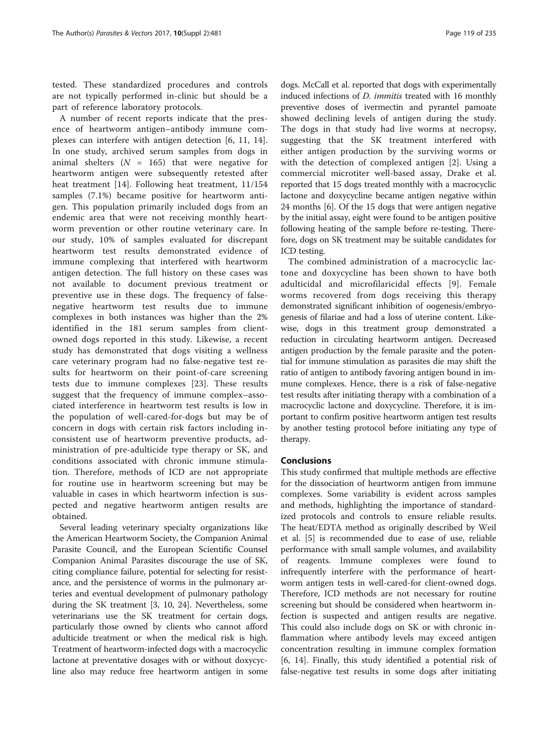tested. These standardized procedures and controls are not typically performed in-clinic but should be a part of reference laboratory protocols.

A number of recent reports indicate that the presence of heartworm antigen–antibody immune complexes can interfere with antigen detection [[6, 11, 14](#page-5-0)]. In one study, archived serum samples from dogs in animal shelters  $(N = 165)$  that were negative for heartworm antigen were subsequently retested after heat treatment [\[14](#page-5-0)]. Following heat treatment, 11/154 samples (7.1%) became positive for heartworm antigen. This population primarily included dogs from an endemic area that were not receiving monthly heartworm prevention or other routine veterinary care. In our study, 10% of samples evaluated for discrepant heartworm test results demonstrated evidence of immune complexing that interfered with heartworm antigen detection. The full history on these cases was not available to document previous treatment or preventive use in these dogs. The frequency of falsenegative heartworm test results due to immune complexes in both instances was higher than the 2% identified in the 181 serum samples from clientowned dogs reported in this study. Likewise, a recent study has demonstrated that dogs visiting a wellness care veterinary program had no false-negative test results for heartworm on their point-of-care screening tests due to immune complexes [[23\]](#page-6-0). These results suggest that the frequency of immune complex–associated interference in heartworm test results is low in the population of well-cared-for-dogs but may be of concern in dogs with certain risk factors including inconsistent use of heartworm preventive products, administration of pre-adulticide type therapy or SK, and conditions associated with chronic immune stimulation. Therefore, methods of ICD are not appropriate for routine use in heartworm screening but may be valuable in cases in which heartworm infection is suspected and negative heartworm antigen results are obtained.

Several leading veterinary specialty organizations like the American Heartworm Society, the Companion Animal Parasite Council, and the European Scientific Counsel Companion Animal Parasites discourage the use of SK, citing compliance failure, potential for selecting for resistance, and the persistence of worms in the pulmonary arteries and eventual development of pulmonary pathology during the SK treatment [\[3, 10,](#page-5-0) [24\]](#page-6-0). Nevertheless, some veterinarians use the SK treatment for certain dogs, particularly those owned by clients who cannot afford adulticide treatment or when the medical risk is high. Treatment of heartworm-infected dogs with a macrocyclic lactone at preventative dosages with or without doxycycline also may reduce free heartworm antigen in some

dogs. McCall et al. reported that dogs with experimentally induced infections of *D. immitis* treated with 16 monthly preventive doses of ivermectin and pyrantel pamoate showed declining levels of antigen during the study. The dogs in that study had live worms at necropsy, suggesting that the SK treatment interfered with either antigen production by the surviving worms or with the detection of complexed antigen [\[2](#page-5-0)]. Using a commercial microtiter well-based assay, Drake et al. reported that 15 dogs treated monthly with a macrocyclic lactone and doxycycline became antigen negative within 24 months [\[6](#page-5-0)]. Of the 15 dogs that were antigen negative by the initial assay, eight were found to be antigen positive following heating of the sample before re-testing. Therefore, dogs on SK treatment may be suitable candidates for ICD testing.

The combined administration of a macrocyclic lactone and doxycycline has been shown to have both adulticidal and microfilaricidal effects [\[9](#page-5-0)]. Female worms recovered from dogs receiving this therapy demonstrated significant inhibition of oogenesis/embryogenesis of filariae and had a loss of uterine content. Likewise, dogs in this treatment group demonstrated a reduction in circulating heartworm antigen. Decreased antigen production by the female parasite and the potential for immune stimulation as parasites die may shift the ratio of antigen to antibody favoring antigen bound in immune complexes. Hence, there is a risk of false-negative test results after initiating therapy with a combination of a macrocyclic lactone and doxycycline. Therefore, it is important to confirm positive heartworm antigen test results by another testing protocol before initiating any type of therapy.

# Conclusions

This study confirmed that multiple methods are effective for the dissociation of heartworm antigen from immune complexes. Some variability is evident across samples and methods, highlighting the importance of standardized protocols and controls to ensure reliable results. The heat/EDTA method as originally described by Weil et al. [\[5\]](#page-5-0) is recommended due to ease of use, reliable performance with small sample volumes, and availability of reagents. Immune complexes were found to infrequently interfere with the performance of heartworm antigen tests in well-cared-for client-owned dogs. Therefore, ICD methods are not necessary for routine screening but should be considered when heartworm infection is suspected and antigen results are negative. This could also include dogs on SK or with chronic inflammation where antibody levels may exceed antigen concentration resulting in immune complex formation [[6, 14](#page-5-0)]. Finally, this study identified a potential risk of false-negative test results in some dogs after initiating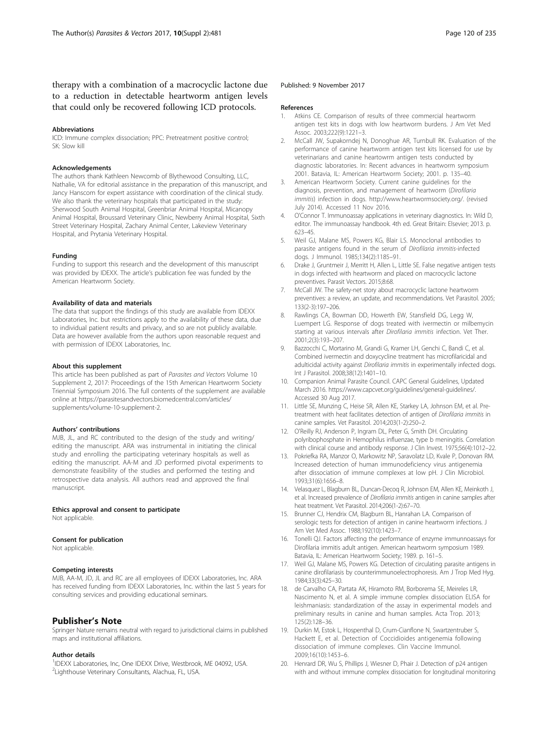<span id="page-5-0"></span>therapy with a combination of a macrocyclic lactone due to a reduction in detectable heartworm antigen levels that could only be recovered following ICD protocols.

#### Abbreviations

ICD: Immune complex dissociation; PPC: Pretreatment positive control; SK: Slow kill

#### Acknowledgements

The authors thank Kathleen Newcomb of Blythewood Consulting, LLC, Nathalie, VA for editorial assistance in the preparation of this manuscript, and Jancy Hanscom for expert assistance with coordination of the clinical study. We also thank the veterinary hospitals that participated in the study: Sherwood South Animal Hospital, Greenbriar Animal Hospital, Micanopy Animal Hospital, Broussard Veterinary Clinic, Newberry Animal Hospital, Sixth Street Veterinary Hospital, Zachary Animal Center, Lakeview Veterinary Hospital, and Prytania Veterinary Hospital.

#### Funding

Funding to support this research and the development of this manuscript was provided by IDEXX. The article's publication fee was funded by the American Heartworm Society.

#### Availability of data and materials

The data that support the findings of this study are available from IDEXX Laboratories, Inc. but restrictions apply to the availability of these data, due to individual patient results and privacy, and so are not publicly available. Data are however available from the authors upon reasonable request and with permission of IDEXX Laboratories, Inc.

#### About this supplement

This article has been published as part of Parasites and Vectors Volume 10 Supplement 2, 2017: Proceedings of the 15th American Heartworm Society Triennial Symposium 2016. The full contents of the supplement are available online at [https://parasitesandvectors.biomedcentral.com/articles/](https://parasitesandvectors.biomedcentral.com/articles/supplements/volume-10-supplement-2) [supplements/volume-10-supplement-2.](https://parasitesandvectors.biomedcentral.com/articles/supplements/volume-10-supplement-2)

#### Authors' contributions

MJB, JL, and RC contributed to the design of the study and writing/ editing the manuscript. ARA was instrumental in initiating the clinical study and enrolling the participating veterinary hospitals as well as editing the manuscript. AA-M and JD performed pivotal experiments to demonstrate feasibility of the studies and performed the testing and retrospective data analysis. All authors read and approved the final manuscript.

#### Ethics approval and consent to participate

Not applicable.

#### Consent for publication

Not applicable.

#### Competing interests

MJB, AA-M, JD, JL and RC are all employees of IDEXX Laboratories, Inc. ARA has received funding from IDEXX Laboratories, Inc. within the last 5 years for consulting services and providing educational seminars.

# Publisher's Note

Springer Nature remains neutral with regard to jurisdictional claims in published maps and institutional affiliations.

#### Author details

1 IDEXX Laboratories, Inc, One IDEXX Drive, Westbrook, ME 04092, USA. <sup>2</sup> Lighthouse Veterinary Consultants, Alachua, FL, USA.

#### Published: 9 November 2017

# References

- Atkins CE. Comparison of results of three commercial heartworm antigen test kits in dogs with low heartworm burdens. J Am Vet Med Assoc. 2003;222(9):1221–3.
- 2. McCall JW, Supakorndej N, Donoghue AR, Turnbull RK. Evaluation of the performance of canine heartworm antigen test kits licensed for use by veterinarians and canine heartowrm antigen tests conducted by diagnostic laboratories. In: Recent advances in heartworm symposium 2001. Batavia, IL: American Heartworm Society; 2001. p. 135–40.
- 3. American Heartworm Society. Current canine guidelines for the diagnosis, prevention, and management of heartworm (Dirofilaria immitis) infection in dogs. [http://www.heartwormsociety.org/](http://www.heartwormsociety.org). (revised July 2014). Accessed 11 Nov 2016.
- 4. O'Connor T. Immunoassay applications in veterinary diagnostics. In: Wild D, editor. The immunoassay handbook. 4th ed. Great Britain: Elsevier; 2013. p. 623–45.
- 5. Weil GJ, Malane MS, Powers KG, Blair LS. Monoclonal antibodies to parasite antigens found in the serum of Dirofilaria immitis-infected dogs. J Immunol. 1985;134(2):1185–91.
- 6. Drake J, Gruntmeir J, Merritt H, Allen L, Little SE. False negative antigen tests in dogs infected with heartworm and placed on macrocyclic lactone preventives. Parasit Vectors. 2015;8:68.
- 7. McCall JW. The safety-net story about macrocyclic lactone heartworm preventives: a review, an update, and recommendations. Vet Parasitol. 2005; 133(2-3):197–206.
- 8. Rawlings CA, Bowman DD, Howerth EW, Stansfield DG, Legg W, Luempert LG. Response of dogs treated with ivermectin or milbemycin starting at various intervals after Dirofilaria immitis infection. Vet Ther. 2001;2(3):193–207.
- 9. Bazzocchi C, Mortarino M, Grandi G, Kramer LH, Genchi C, Bandi C, et al. Combined ivermectin and doxycycline treatment has microfilaricidal and adulticidal activity against *Dirofilaria immitis* in experimentally infected dogs. Int J Parasitol. 2008;38(12):1401–10.
- 10. Companion Animal Parasite Council. CAPC General Guidelines, Updated March 2016.<https://www.capcvet.org/guidelines/general-guidelines/>. Accessed 30 Aug 2017.
- 11. Little SE, Munzing C, Heise SR, Allen KE, Starkey LA, Johnson EM, et al. Pretreatment with heat facilitates detection of antigen of Dirofilaria immitis in canine samples. Vet Parasitol. 2014;203(1-2):250–2.
- 12. O'Reilly RJ, Anderson P, Ingram DL, Peter G, Smith DH. Circulating polyribophosphate in Hemophilus influenzae, type b meningitis. Correlation with clinical course and antibody response. J Clin Invest. 1975;56(4):1012–22.
- 13. Pokriefka RA, Manzor O, Markowitz NP, Saravolatz LD, Kvale P, Donovan RM. Increased detection of human immunodeficiency virus antigenemia after dissociation of immune complexes at low pH. J Clin Microbiol. 1993;31(6):1656–8.
- 14. Velasquez L, Blagburn BL, Duncan-Decoq R, Johnson EM, Allen KE, Meinkoth J, et al. Increased prevalence of Dirofilaria immitis antigen in canine samples after heat treatment. Vet Parasitol. 2014;206(1-2):67–70.
- 15. Brunner CJ, Hendrix CM, Blagburn BL, Hanrahan LA. Comparison of serologic tests for detection of antigen in canine heartworm infections. J Am Vet Med Assoc. 1988;192(10):1423–7.
- 16. Tonelli QJ. Factors affecting the performance of enzyme immunnoassays for Dirofilaria immitis adult antigen. American heartworm symposium 1989. Batavia, IL: American Heartworm Society; 1989. p. 161–5.
- 17. Weil GJ, Malane MS, Powers KG. Detection of circulating parasite antigens in canine dirofilariasis by counterimmunoelectrophoresis. Am J Trop Med Hyg. 1984;33(3):425–30.
- 18. de Carvalho CA, Partata AK, Hiramoto RM, Borborema SE, Meireles LR, Nascimento N, et al. A simple immune complex dissociation ELISA for leishmaniasis: standardization of the assay in experimental models and preliminary results in canine and human samples. Acta Trop. 2013; 125(2):128–36.
- 19. Durkin M, Estok L, Hospenthal D, Crum-Cianflone N, Swartzentruber S, Hackett E, et al. Detection of Coccidioides antigenemia following dissociation of immune complexes. Clin Vaccine Immunol. 2009;16(10):1453–6.
- 20. Henrard DR, Wu S, Phillips J, Wiesner D, Phair J. Detection of p24 antigen with and without immune complex dissociation for longitudinal monitoring